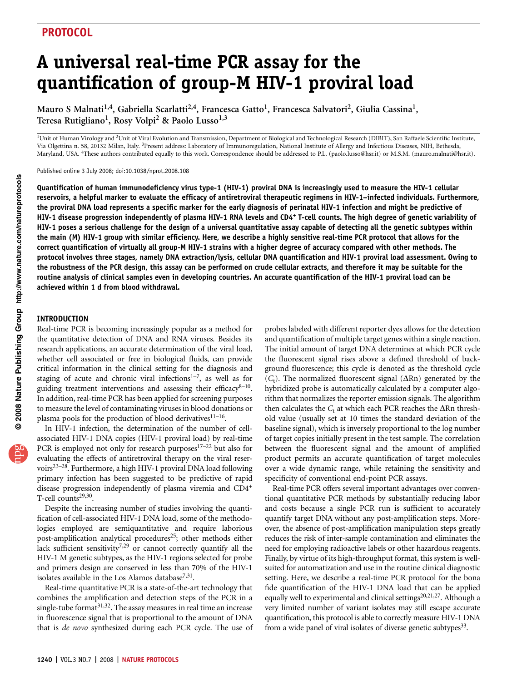# A universal real-time PCR assay for the quantification of group-M HIV-1 proviral load

Mauro S Malnati<sup>1,4</sup>, Gabriella Scarlatti<sup>2,4</sup>, Francesca Gatto<sup>1</sup>, Francesca Salvatori<sup>2</sup>, Giulia Cassina<sup>1</sup>, Teresa Rutigliano<sup>1</sup>, Rosy Volpi<sup>2</sup> & Paolo Lusso<sup>1,3</sup>

<sup>1</sup>Unit of Human Virology and <sup>2</sup>Unit of Viral Evolution and Transmission, Department of Biological and Technological Research (DIBIT), San Raffaele Scientific Institute, Via Olgettina n. 58, 20132 Milan, Italy. <sup>3</sup>Present address: Laboratory of Immunoregulation, National Institute of Allergy and Infectious Diseases, NIH, Bethesda, Maryland, USA. 4These authors contributed equally to this work. Correspondence should be addressed to P.L. (paolo.lusso@hsr.it) or M.S.M. (mauro.malnati@hsr.it).

Published online 3 July 2008; doi:10.1038/nprot.2008.108

Quantification of human immunodeficiency virus type-1 (HIV-1) proviral DNA is increasingly used to measure the HIV-1 cellular reservoirs, a helpful marker to evaluate the efficacy of antiretroviral therapeutic regimens in HIV-1–infected individuals. Furthermore, the proviral DNA load represents a specific marker for the early diagnosis of perinatal HIV-1 infection and might be predictive of HIV-1 disease progression independently of plasma HIV-1 RNA levels and CD4+ T-cell counts. The high degree of genetic variability of HIV-1 poses a serious challenge for the design of a universal quantitative assay capable of detecting all the genetic subtypes within the main (M) HIV-1 group with similar efficiency. Here, we describe a highly sensitive real-time PCR protocol that allows for the correct quantification of virtually all group-M HIV-1 strains with a higher degree of accuracy compared with other methods. The protocol involves three stages, namely DNA extraction/lysis, cellular DNA quantification and HIV-1 proviral load assessment. Owing to the robustness of the PCR design, this assay can be performed on crude cellular extracts, and therefore it may be suitable for the routine analysis of clinical samples even in developing countries. An accurate quantification of the HIV-1 proviral load can be achieved within 1 d from blood withdrawal.

#### INTRODUCTION

Real-time PCR is becoming increasingly popular as a method for the quantitative detection of DNA and RNA viruses. Besides its research applications, an accurate determination of the viral load, whether cell associated or free in biological fluids, can provide critical information in the clinical setting for the diagnosis and staging of acute and chronic viral infections $1-7$ , as well as for guiding treatment interventions and assessing their efficacy $8-10$ . In addition, real-time PCR has been applied for screening purposes to measure the level of contaminating viruses in blood donations or plasma pools for the production of blood derivatives<sup>11-16</sup>.

In HIV-1 infection, the determination of the number of cellassociated HIV-1 DNA copies (HIV-1 proviral load) by real-time PCR is employed not only for research purposes $17-22$  but also for evaluating the effects of antiretroviral therapy on the viral reservoirs<sup>23–28</sup>. Furthermore, a high HIV-1 proviral DNA load following primary infection has been suggested to be predictive of rapid disease progression independently of plasma viremia and CD4+ T-cell counts<sup>29,30</sup>.

Despite the increasing number of studies involving the quantification of cell-associated HIV-1 DNA load, some of the methodologies employed are semiquantitative and require laborious post-amplification analytical procedures<sup>25</sup>; other methods either lack sufficient sensitivity<sup>7,29</sup> or cannot correctly quantify all the HIV-1 M genetic subtypes, as the HIV-1 regions selected for probe and primers design are conserved in less than 70% of the HIV-1 isolates available in the Los Alamos database<sup>7,31</sup>.

Real-time quantitative PCR is a state-of-the-art technology that combines the amplification and detection steps of the PCR in a single-tube format $31,32$ . The assay measures in real time an increase in fluorescence signal that is proportional to the amount of DNA that is de novo synthesized during each PCR cycle. The use of probes labeled with different reporter dyes allows for the detection and quantification of multiple target genes within a single reaction. The initial amount of target DNA determines at which PCR cycle the fluorescent signal rises above a defined threshold of background fluorescence; this cycle is denoted as the threshold cycle  $(C_t)$ . The normalized fluorescent signal ( $\Delta$ Rn) generated by the hybridized probe is automatically calculated by a computer algorithm that normalizes the reporter emission signals. The algorithm then calculates the  $C_t$  at which each PCR reaches the  $\Delta$ Rn threshold value (usually set at 10 times the standard deviation of the baseline signal), which is inversely proportional to the log number of target copies initially present in the test sample. The correlation between the fluorescent signal and the amount of amplified product permits an accurate quantification of target molecules over a wide dynamic range, while retaining the sensitivity and specificity of conventional end-point PCR assays.

Real-time PCR offers several important advantages over conventional quantitative PCR methods by substantially reducing labor and costs because a single PCR run is sufficient to accurately quantify target DNA without any post-amplification steps. Moreover, the absence of post-amplification manipulation steps greatly reduces the risk of inter-sample contamination and eliminates the need for employing radioactive labels or other hazardous reagents. Finally, by virtue of its high-throughput format, this system is wellsuited for automatization and use in the routine clinical diagnostic setting. Here, we describe a real-time PCR protocol for the bona fide quantification of the HIV-1 DNA load that can be applied equally well to experimental and clinical settings<sup>20,21,27</sup>. Although a very limited number of variant isolates may still escape accurate quantification, this protocol is able to correctly measure HIV-1 DNA from a wide panel of viral isolates of diverse genetic subtypes<sup>33</sup>.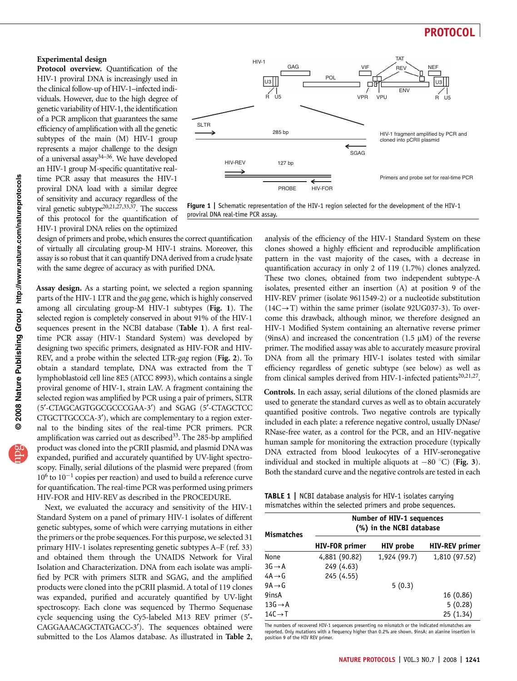#### Experimental design

Protocol overview. Quantification of the HIV-1 proviral DNA is increasingly used in the clinical follow-up of HIV-1–infected individuals. However, due to the high degree of genetic variability of HIV-1, the identification of a PCR amplicon that guarantees the same efficiency of amplification with all the genetic subtypes of the main (M) HIV-1 group represents a major challenge to the design of a universal assay34–36. We have developed an HIV-1 group M-specific quantitative realtime PCR assay that measures the HIV-1 proviral DNA load with a similar degree of sensitivity and accuracy regardless of the viral genetic subtype<sup>20,21,27,33,37</sup>. The success of this protocol for the quantification of HIV-1 proviral DNA relies on the optimized



Figure 1 | Schematic representation of the HIV-1 region selected for the development of the HIV-1 proviral DNA real-time PCR assay.

design of primers and probe, which ensures the correct quantification of virtually all circulating group-M HIV-1 strains. Moreover, this assay is so robust that it can quantify DNA derived from a crude lysate with the same degree of accuracy as with purified DNA.

Assay design. As a starting point, we selected a region spanning parts of the HIV-1 LTR and the gag gene, which is highly conserved among all circulating group-M HIV-1 subtypes (Fig. 1). The selected region is completely conserved in about 91% of the HIV-1 sequences present in the NCBI database (Table 1). A first realtime PCR assay (HIV-1 Standard System) was developed by designing two specific primers, designated as HIV-FOR and HIV-REV, and a probe within the selected LTR-gag region (Fig. 2). To obtain a standard template, DNA was extracted from the T lymphoblastoid cell line 8E5 (ATCC 8993), which contains a single proviral genome of HIV-1, strain LAV. A fragment containing the selected region was amplified by PCR using a pair of primers, SLTR (5¢-CTAGCAGTGGCGCCCGAA-3¢) and SGAG (5¢-CTAGCTCC CTGCTTGCCCA-3'), which are complementary to a region external to the binding sites of the real-time PCR primers. PCR amplification was carried out as described  $33$ . The 285-bp amplified product was cloned into the pCRII plasmid, and plasmid DNA was expanded, purified and accurately quantified by UV-light spectroscopy. Finally, serial dilutions of the plasmid were prepared (from  $10^6$  to  $10^{-1}$  copies per reaction) and used to build a reference curve for quantification. The real-time PCR was performed using primers HIV-FOR and HIV-REV as described in the PROCEDURE.

Next, we evaluated the accuracy and sensitivity of the HIV-1 Standard System on a panel of primary HIV-1 isolates of different genetic subtypes, some of which were carrying mutations in either the primers or the probe sequences. For this purpose, we selected 31 primary HIV-1 isolates representing genetic subtypes A–F (ref. 33) and obtained them through the UNAIDS Network for Viral Isolation and Characterization. DNA from each isolate was amplified by PCR with primers SLTR and SGAG, and the amplified products were cloned into the pCRII plasmid. A total of 119 clones was expanded, purified and accurately quantified by UV-light spectroscopy. Each clone was sequenced by Thermo Sequenase cycle sequencing using the Cy5-labeled M13 REV primer (5'-CAGGAAACAGCTATGACC-3'). The sequences obtained were submitted to the Los Alamos database. As illustrated in Table 2, analysis of the efficiency of the HIV-1 Standard System on these clones showed a highly efficient and reproducible amplification pattern in the vast majority of the cases, with a decrease in quantification accuracy in only 2 of 119 (1.7%) clones analyzed. These two clones, obtained from two independent subtype-A isolates, presented either an insertion (A) at position 9 of the HIV-REV primer (isolate 9611549-2) or a nucleotide substitution  $(14C \rightarrow T)$  within the same primer (isolate 92UG037-3). To overcome this drawback, although minor, we therefore designed an HIV-1 Modified System containing an alternative reverse primer (9insA) and increased the concentration (1.5  $\mu$ M) of the reverse primer. The modified assay was able to accurately measure proviral DNA from all the primary HIV-1 isolates tested with similar efficiency regardless of genetic subtype (see below) as well as from clinical samples derived from HIV-1-infected patients<sup>20,21,27</sup>.

Controls. In each assay, serial dilutions of the cloned plasmids are used to generate the standard curves as well as to obtain accurately quantified positive controls. Two negative controls are typically included in each plate: a reference negative control, usually DNase/ RNase-free water, as a control for the PCR, and an HIV-negative human sample for monitoring the extraction procedure (typically DNA extracted from blood leukocytes of a HIV-seronegative individual and stocked in multiple aliquots at  $-80$  °C) (Fig. 3). Both the standard curve and the negative controls are tested in each

TABLE 1 | NCBI database analysis for HIV-1 isolates carrying mismatches within the selected primers and probe sequences.

| <b>Mismatches</b>   | Number of HIV-1 sequences<br>(%) in the NCBI database |                  |                       |  |
|---------------------|-------------------------------------------------------|------------------|-----------------------|--|
|                     | <b>HIV-FOR primer</b>                                 | <b>HIV</b> probe | <b>HIV-REV</b> primer |  |
| None                | 4,881 (90.82)                                         | 1,924 (99.7)     | 1,810 (97.52)         |  |
| $3G \rightarrow A$  | 249 (4.63)                                            |                  |                       |  |
| $4A \rightarrow G$  | 245 (4.55)                                            |                  |                       |  |
| $9A \rightarrow G$  |                                                       | 5(0.3)           |                       |  |
| 9insA               |                                                       |                  | 16(0.86)              |  |
| $13G \rightarrow A$ |                                                       |                  | 5(0.28)               |  |
| $14C \rightarrow T$ |                                                       |                  | 25 (1.34)             |  |

The numbers of recovered HIV-1 sequences presenting no mismatch or the indicated mismatches are reported. Only mutations with a frequency higher than 0.2% are shown. 9insA: an alanine insertion in position 9 of the HIV REV primer.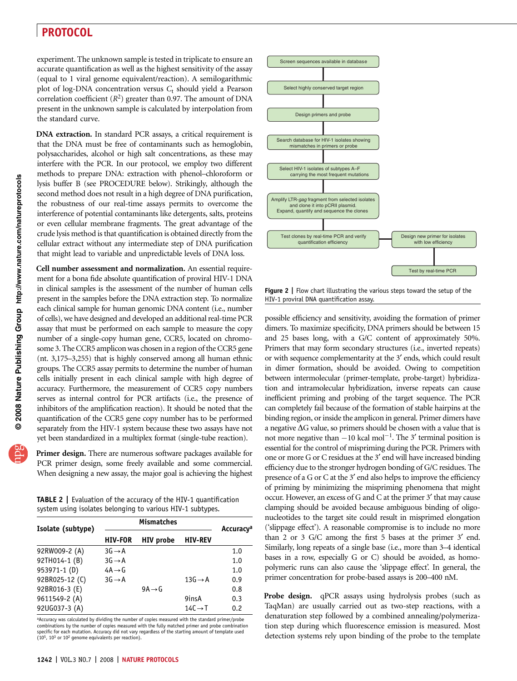experiment. The unknown sample is tested in triplicate to ensure an accurate quantification as well as the highest sensitivity of the assay (equal to 1 viral genome equivalent/reaction). A semilogarithmic plot of log-DNA concentration versus  $C_t$  should yield a Pearson correlation coefficient  $(R^2)$  greater than 0.97. The amount of DNA present in the unknown sample is calculated by interpolation from the standard curve.

DNA extraction. In standard PCR assays, a critical requirement is that the DNA must be free of contaminants such as hemoglobin, polysaccharides, alcohol or high salt concentrations, as these may interfere with the PCR. In our protocol, we employ two different methods to prepare DNA: extraction with phenol–chloroform or lysis buffer B (see PROCEDURE below). Strikingly, although the second method does not result in a high degree of DNA purification, the robustness of our real-time assays permits to overcome the interference of potential contaminants like detergents, salts, proteins or even cellular membrane fragments. The great advantage of the crude lysis method is that quantification is obtained directly from the cellular extract without any intermediate step of DNA purification that might lead to variable and unpredictable levels of DNA loss.

Cell number assessment and normalization. An essential requirement for a bona fide absolute quantification of proviral HIV-1 DNA in clinical samples is the assessment of the number of human cells present in the samples before the DNA extraction step. To normalize each clinical sample for human genomic DNA content (i.e., number of cells), we have designed and developed an additional real-time PCR assay that must be performed on each sample to measure the copy number of a single-copy human gene, CCR5, located on chromosome 3. The CCR5 amplicon was chosen in a region of the CCR5 gene (nt. 3,175–3,255) that is highly conserved among all human ethnic groups. The CCR5 assay permits to determine the number of human cells initially present in each clinical sample with high degree of accuracy. Furthermore, the measurement of CCR5 copy numbers serves as internal control for PCR artifacts (i.e., the presence of inhibitors of the amplification reaction). It should be noted that the quantification of the CCR5 gene copy number has to be performed separately from the HIV-1 system because these two assays have not yet been standardized in a multiplex format (single-tube reaction).

Primer design. There are numerous software packages available for PCR primer design, some freely available and some commercial. When designing a new assay, the major goal is achieving the highest

TABLE 2 | Evaluation of the accuracy of the HIV-1 quantification system using isolates belonging to various HIV-1 subtypes.

| Isolate (subtype) | <b>Mismatches</b>  |                    |                     | Accuracy <sup>a</sup> |
|-------------------|--------------------|--------------------|---------------------|-----------------------|
|                   | <b>HIV-FOR</b>     | <b>HIV</b> probe   | <b>HIV-REV</b>      |                       |
| 92RW009-2 (A)     | $3G \rightarrow A$ |                    |                     | 1.0                   |
| 92TH014-1 (B)     | $3G \rightarrow A$ |                    |                     | 1.0                   |
| 953971-1 (D)      | $4A \rightarrow G$ |                    |                     | 1.0                   |
| 92BR025-12 (C)    | $3G \rightarrow A$ |                    | $13G \rightarrow A$ | 0.9                   |
| 92BR016-3 (E)     |                    | $9A \rightarrow G$ |                     | 0.8                   |
| 9611549-2 (A)     |                    |                    | 9insA               | 0.3                   |
| 92UG037-3 (A)     |                    |                    | $14C \rightarrow T$ | 0.2                   |
|                   |                    |                    |                     |                       |

<sup>a</sup>Accuracy was calculated by dividing the number of copies measured with the standard primer/probe combinations by the number of copies measured with the fully matched primer and probe combination specific for each mutation. Accuracy did not vary regardless of the starting amount of template used  $(10^5, 10^3 \text{ or } 10^2 \text{ genome equivalents per reaction}).$ 



**Figure 2** | Flow chart illustrating the various steps toward the setup of the HIV-1 proviral DNA quantification assay.

possible efficiency and sensitivity, avoiding the formation of primer dimers. To maximize specificity, DNA primers should be between 15 and 25 bases long, with a G/C content of approximately 50%. Primers that may form secondary structures (i.e., inverted repeats) or with sequence complementarity at the 3' ends, which could result in dimer formation, should be avoided. Owing to competition between intermolecular (primer-template, probe-target) hybridization and intramolecular hybridization, inverse repeats can cause inefficient priming and probing of the target sequence. The PCR can completely fail because of the formation of stable hairpins at the binding region, or inside the amplicon in general. Primer dimers have a negative  $\Delta G$  value, so primers should be chosen with a value that is not more negative than  $-10$  kcal mol<sup>-1</sup>. The 3' terminal position is essential for the control of mispriming during the PCR. Primers with one or more G or C residues at the 3' end will have increased binding efficiency due to the stronger hydrogen bonding of G/C residues. The presence of a G or C at the 3' end also helps to improve the efficiency of priming by minimizing the mispriming phenomena that might occur. However, an excess of G and C at the primer 3' that may cause clamping should be avoided because ambiguous binding of oligonucleotides to the target site could result in misprimed elongation ('slippage effect'). A reasonable compromise is to include no more than 2 or 3  $G/C$  among the first 5 bases at the primer 3' end. Similarly, long repeats of a single base (i.e., more than 3–4 identical bases in a row, especially G or C) should be avoided, as homopolymeric runs can also cause the 'slippage effect'. In general, the primer concentration for probe-based assays is 200–400 nM.

Probe design. qPCR assays using hydrolysis probes (such as TaqMan) are usually carried out as two-step reactions, with a denaturation step followed by a combined annealing/polymerization step during which fluorescence emission is measured. Most detection systems rely upon binding of the probe to the template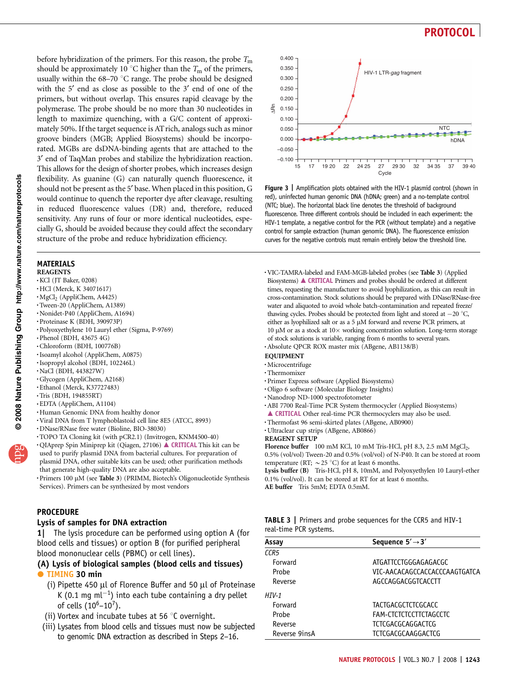before hybridization of the primers. For this reason, the probe  $T<sub>m</sub>$ should be approximately 10  $^{\circ}{\rm C}$  higher than the  $T_{\rm m}$  of the primers, usually within the  $68-70$  °C range. The probe should be designed with the 5<sup>'</sup> end as close as possible to the 3<sup>'</sup> end of one of the primers, but without overlap. This ensures rapid cleavage by the polymerase. The probe should be no more than 30 nucleotides in length to maximize quenching, with a G/C content of approximately 50%. If the target sequence is AT rich, analogs such as minor groove binders (MGB; Applied Biosystems) should be incorporated. MGBs are dsDNA-binding agents that are attached to the 3¢ end of TaqMan probes and stabilize the hybridization reaction. This allows for the design of shorter probes, which increases design flexibility. As guanine (G) can naturally quench fluorescence, it should not be present as the 5' base. When placed in this position, G would continue to quench the reporter dye after cleavage, resulting in reduced fluorescence values (DR) and, therefore, reduced sensitivity. Any runs of four or more identical nucleotides, especially G, should be avoided because they could affect the secondary structure of the probe and reduce hybridization efficiency.

# MATERIALS

- REAGENTS
- .KCl (JT Baker, 0208)
- .HCl (Merck, K 34071617)
- .MgCl2 (AppliChem, A4425) .Tween-20 (AppliChem, A1389)
- 
- .Nonidet-P40 (AppliChem, A1694)
- .Proteinase K (BDH, 390973P)
- .Polyoxyethylene 10 Lauryl ether (Sigma, P-9769)
- $\cdot$  Phenol (BDH, 43675 4G)
- .Chloroform (BDH, 100776B)
- .Isoamyl alcohol (AppliChem, A0875)
- .Isopropyl alcohol (BDH, 102246L)
- $\cdot$ NaCl (BDH, 443827W)
- .Glycogen (AppliChem, A2168)
- .Ethanol (Merck, K37727483)
- .Tris (BDH, 194855RT)
- .EDTA (AppliChem, A1104)
- .Human Genomic DNA from healthy donor
- .Viral DNA from T lymphoblastoid cell line 8E5 (ATCC, 8993)
- .DNase/RNase free water (Bioline, BIO-38030)
- .TOPO TA Cloning kit (with pCR2.1) (Invitrogen, KNM4500-40)
- · QIAprep Spin Miniprep kit (Qiagen, 27106) ▲ CRITICAL This kit can be used to purify plasmid DNA from bacterial cultures. For preparation of plasmid DNA, other suitable kits can be used; other purification methods that generate high-quality DNA are also acceptable.
- · Primers 100 µM (see Table 3) (PRIMM, Biotech's Oligonucleotide Synthesis Services). Primers can be synthesized by most vendors

### **PROCEDURE**

### Lysis of samples for DNA extraction

1| The lysis procedure can be performed using option A (for blood cells and tissues) or option B (for purified peripheral blood mononuclear cells (PBMC) or cell lines).

### (A) Lysis of biological samples (blood cells and tissues) TIMING 30 min

- (i) Pipette 450  $\mu$ l of Florence Buffer and 50  $\mu$ l of Proteinase K (0.1 mg m $\lfloor -1 \rfloor$  into each tube containing a dry pellet of cells  $(10^6 - 10^7)$ .
- (ii) Vortex and incubate tubes at 56 $\degree$ C overnight.
- (iii) Lysates from blood cells and tissues must now be subjected to genomic DNA extraction as described in Steps 2–16.



Figure 3 | Amplification plots obtained with the HIV-1 plasmid control (shown in red), uninfected human genomic DNA (hDNA; green) and a no-template control (NTC; blue). The horizontal black line denotes the threshold of background fluorescence. Three different controls should be included in each experiment: the HIV-1 template, a negative control for the PCR (without template) and a negative control for sample extraction (human genomic DNA). The fluorescence emission curves for the negative controls must remain entirely below the threshold line.

- .VIC-TAMRA-labeled and FAM-MGB-labeled probes (see Table 3) (Applied Biosystems)  $\triangle$  CRITICAL Primers and probes should be ordered at different times, requesting the manufacturer to avoid lyophilization, as this can result in cross-contamination. Stock solutions should be prepared with DNase/RNase-free water and aliquoted to avoid whole batch-contamination and repeated freeze/ thawing cycles. Probes should be protected from light and stored at  $-20$  °C, either as lyophilized salt or as a  $5 \mu M$  forward and reverse PCR primers, at 10  $\mu$ M or as a stock at 10 $\times$  working concentration solution. Long-term storage of stock solutions is variable, ranging from 6 months to several years. .Absolute QPCR ROX master mix (ABgene, AB1138/B)
- EQUIPMENT
- .Microcentrifuge
- .Thermomixer
- .Primer Express software (Applied Biosystems)
- .Oligo 6 software (Molecular Biology Insights)
- .Nanodrop ND-1000 spectrofotometer
- .ABI 7700 Real-Time PCR System thermocycler (Applied Biosystems)
- <sup>m</sup> CRITICAL Other real-time PCR thermocyclers may also be used. .Thermofast 96 semi-skirted plates (ABgene, AB0900)
- 
- .Ultraclear cup strips (ABgene, AB0866)
- REAGENT SETUP

Florence buffer 100 mM KCl, 10 mM Tris-HCl, pH 8.3, 2.5 mM MgCl<sub>2</sub>, 0.5% (vol/vol) Tween-20 and 0.5% (vol/vol) of N-P40. It can be stored at room temperature (RT;  $\sim$  25 °C) for at least 6 months.

Lysis buffer (B) Tris-HCl, pH 8, 10mM, and Polyoxyethylen 10 Lauryl-ether 0.1% (vol/vol). It can be stored at RT for at least 6 months. AE buffer Tris 5mM; EDTA 0.5mM.

|                        | <b>TABLE 3</b>   Primers and probe sequences for the CCR5 and HIV-1 |  |  |
|------------------------|---------------------------------------------------------------------|--|--|
| real-time PCR systems. |                                                                     |  |  |

| Assay            | Sequence $5' \rightarrow 3'$  |  |  |
|------------------|-------------------------------|--|--|
| CCR <sub>5</sub> |                               |  |  |
| Forward          | ATGATTCCTGGGAGAGACGC          |  |  |
| Probe            | VIC-AACACAGCCACCACCCAAGTGATCA |  |  |
| Reverse          | AGCCAGGACGGTCACCTT            |  |  |
| $HIV-1$          |                               |  |  |
| Forward          | <b>TACTGACGCTCTCGCACC</b>     |  |  |
| Probe            | FAM-CTCTCTCCTTCTAGCCTC        |  |  |
| Reverse          | TCTCGACGCAGGACTCG             |  |  |
| Reverse 9insA    | TCTCGACGCAAGGACTCG            |  |  |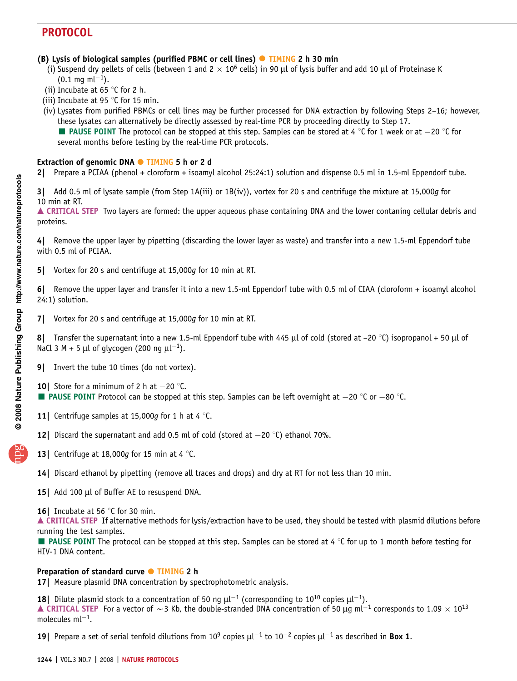### (B) Lysis of biological samples (purified PBMC or cell lines)  $\bullet$  TIMING 2 h 30 min

- (i) Suspend dry pellets of cells (between 1 and  $2 \times 10^6$  cells) in 90 µl of lysis buffer and add 10 µl of Proteinase K  $(0.1 \text{ mg ml}^{-1}).$
- (ii) Incubate at 65  $\degree$ C for 2 h.
- (iii) Incubate at 95  $\degree$ C for 15 min.
- (iv) Lysates from purified PBMCs or cell lines may be further processed for DNA extraction by following Steps 2–16; however, these lysates can alternatively be directly assessed by real-time PCR by proceeding directly to Step 17.

 $\blacksquare$  **PAUSE POINT** The protocol can be stopped at this step. Samples can be stored at 4 °C for 1 week or at  $-20$  °C for several months before testing by the real-time PCR protocols.

### Extraction of genomic DNA  $\bullet$  TIMING 5 h or 2 d

2| Prepare a PCIAA (phenol + cloroform + isoamyl alcohol 25:24:1) solution and dispense 0.5 ml in 1.5-ml Eppendorf tube.

3| Add 0.5 ml of lysate sample (from Step 1A(iii) or 1B(iv)), vortex for 20 s and centrifuge the mixture at 15,000g for 10 min at RT.

▲ CRITICAL STEP Two layers are formed: the upper aqueous phase containing DNA and the lower contaning cellular debris and proteins.

4| Remove the upper layer by pipetting (discarding the lower layer as waste) and transfer into a new 1.5-ml Eppendorf tube with 0.5 ml of PCIAA.

5| Vortex for 20 s and centrifuge at 15,000g for 10 min at RT.

6| Remove the upper layer and transfer it into a new 1.5-ml Eppendorf tube with 0.5 ml of CIAA (cloroform + isoamyl alcohol 24:1) solution.

7| Vortex for 20 s and centrifuge at 15,000g for 10 min at RT.

8| Transfer the supernatant into a new 1.5-ml Eppendorf tube with 445 µl of cold (stored at –20 °C) isopropanol + 50 µl of NaCl 3 M + 5 µl of glycogen (200 ng  $\mu$ l<sup>-1</sup>).

- 9| Invert the tube 10 times (do not vortex).
- **10** Store for a minimum of 2 h at  $-20$  °C. **PAUSE POINT** Protocol can be stopped at this step. Samples can be left overnight at  $-20$  °C or  $-80$  °C.
- **11** Centrifuge samples at 15,000g for 1 h at 4  $\degree$ C.
- **12** Discard the supernatant and add 0.5 ml of cold (stored at  $-20$  °C) ethanol 70%.
- 13| Centrifuge at 18,000g for 15 min at 4  $\degree$ C.
- 14| Discard ethanol by pipetting (remove all traces and drops) and dry at RT for not less than 10 min.
- 15| Add 100 µl of Buffer AE to resuspend DNA.
- **16** Incubate at 56  $\degree$ C for 30 min.

▲ CRITICAL STEP If alternative methods for lysis/extraction have to be used, they should be tested with plasmid dilutions before running the test samples.

**PAUSE POINT** The protocol can be stopped at this step. Samples can be stored at 4  $\degree$ C for up to 1 month before testing for HIV-1 DNA content.

### Preparation of standard curve • TIMING 2 h

17| Measure plasmid DNA concentration by spectrophotometric analysis.

**18** Dilute plasmid stock to a concentration of 50 ng  $\mu$ l<sup>-1</sup> (corresponding to 10<sup>10</sup> copies  $\mu$ l<sup>-1</sup>). **A CRITICAL STEP** For a vector of  $\sim$  3 Kb, the double-stranded DNA concentration of 50 µg ml<sup>-1</sup> corresponds to 1.09  $\times$  10<sup>13</sup> molecules  $ml^{-1}$ .

**19** Prepare a set of serial tenfold dilutions from 10<sup>9</sup> copies  $\mu$ l<sup>-1</sup> to 10<sup>-2</sup> copies  $\mu$ l<sup>-1</sup> as described in **Box 1.**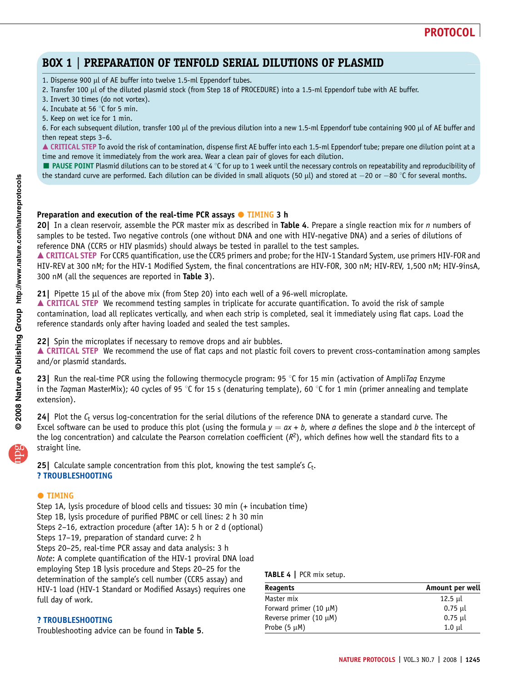# BOX 1 | PREPARATION OF TENFOLD SERIAL DILUTIONS OF PLASMID

1. Dispense 900 µl of AE buffer into twelve 1.5-ml Eppendorf tubes.

2. Transfer 100 µl of the diluted plasmid stock (from Step 18 of PROCEDURE) into a 1.5-ml Eppendorf tube with AE buffer.

3. Invert 30 times (do not vortex).

4. Incubate at 56  $\degree$ C for 5 min.

5. Keep on wet ice for 1 min.

6. For each subsequent dilution, transfer 100 µl of the previous dilution into a new 1.5-ml Eppendorf tube containing 900 µl of AE buffer and then repeat steps 3–6.

▲ CRITICAL STEP To avoid the risk of contamination, dispense first AE buffer into each 1.5-ml Eppendorf tube; prepare one dilution point at a time and remove it immediately from the work area. Wear a clean pair of gloves for each dilution.

 $\blacksquare$  PAUSE POINT Plasmid dilutions can to be stored at 4 °C for up to 1 week until the necessary controls on repeatability and reproducibility of the standard curve are performed. Each dilution can be divided in small aliquots (50 µl) and stored at  $-20$  or  $-80$  °C for several months.

#### Preparation and execution of the real-time PCR assays  $\bullet$  TIMING 3 h

20| In a clean reservoir, assemble the PCR master mix as described in Table 4. Prepare a single reaction mix for n numbers of samples to be tested. Two negative controls (one without DNA and one with HIV-negative DNA) and a series of dilutions of reference DNA (CCR5 or HIV plasmids) should always be tested in parallel to the test samples.

▲ CRITICAL STEP For CCR5 quantification, use the CCR5 primers and probe; for the HIV-1 Standard System, use primers HIV-FOR and HIV-REV at 300 nM; for the HIV-1 Modified System, the final concentrations are HIV-FOR, 300 nM; HIV-REV, 1,500 nM; HIV-9insA, 300 nM (all the sequences are reported in Table 3).

21| Pipette 15  $\mu$ l of the above mix (from Step 20) into each well of a 96-well microplate.

▲ CRITICAL STEP We recommend testing samples in triplicate for accurate quantification. To avoid the risk of sample contamination, load all replicates vertically, and when each strip is completed, seal it immediately using flat caps. Load the reference standards only after having loaded and sealed the test samples.

22| Spin the microplates if necessary to remove drops and air bubbles.

▲ CRITICAL STEP We recommend the use of flat caps and not plastic foil covers to prevent cross-contamination among samples and/or plasmid standards.

23 Run the real-time PCR using the following thermocycle program: 95 °C for 15 min (activation of AmpliTag Enzyme in the Taqman MasterMix); 40 cycles of 95 °C for 15 s (denaturing template), 60 °C for 1 min (primer annealing and template extension).

24 Plot the  $C_t$  versus log-concentration for the serial dilutions of the reference DNA to generate a standard curve. The Excel software can be used to produce this plot (using the formula  $y = ax + b$ , where a defines the slope and b the intercept of the log concentration) and calculate the Pearson correlation coefficient  $(R^2)$ , which defines how well the standard fits to a straight line.

**25** Calculate sample concentration from this plot, knowing the test sample's  $C_t$ . ? TROUBLESHOOTING

#### **O** TIMING

Step 1A, lysis procedure of blood cells and tissues: 30 min (+ incubation time) Step 1B, lysis procedure of purified PBMC or cell lines: 2 h 30 min Steps 2–16, extraction procedure (after 1A): 5 h or 2 d (optional) Steps 17–19, preparation of standard curve: 2 h Steps 20–25, real-time PCR assay and data analysis: 3 h Note: A complete quantification of the HIV-1 proviral DNA load employing Step 1B lysis procedure and Steps 20–25 for the determination of the sample's cell number (CCR5 assay) and HIV-1 load (HIV-1 Standard or Modified Assays) requires one full day of work.

#### ? TROUBLESHOOTING

Troubleshooting advice can be found in Table 5.

TABLE 4 | PCR mix setup.

| Reagents                    | Amount per well |  |  |
|-----------------------------|-----------------|--|--|
| Master mix                  | $12.5$ µl       |  |  |
| Forward primer (10 $\mu$ M) | $0.75$ µl       |  |  |
| Reverse primer $(10 \mu M)$ | $0.75$ µl       |  |  |
| Probe $(5 \mu M)$           | $1.0$ $\mu$     |  |  |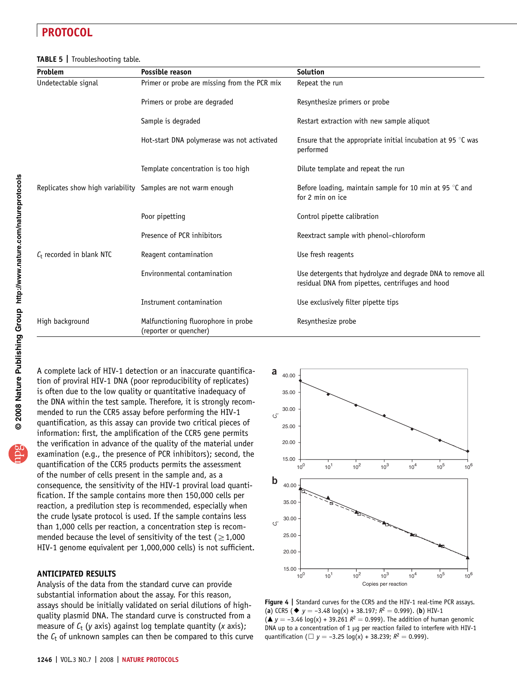#### TABLE 5 | Troubleshooting table.

| Problem                                                      | Possible reason                                               | <b>Solution</b>                                                                                                 |  |
|--------------------------------------------------------------|---------------------------------------------------------------|-----------------------------------------------------------------------------------------------------------------|--|
| Undetectable signal                                          | Primer or probe are missing from the PCR mix                  | Repeat the run                                                                                                  |  |
|                                                              | Primers or probe are degraded                                 | Resynthesize primers or probe                                                                                   |  |
|                                                              | Sample is degraded                                            | Restart extraction with new sample aliquot                                                                      |  |
|                                                              | Hot-start DNA polymerase was not activated                    | Ensure that the appropriate initial incubation at 95 $\degree$ C was<br>performed                               |  |
|                                                              | Template concentration is too high                            | Dilute template and repeat the run                                                                              |  |
| Replicates show high variability Samples are not warm enough |                                                               | Before loading, maintain sample for 10 min at 95 $\degree$ C and<br>for 2 min on ice                            |  |
|                                                              | Poor pipetting                                                | Control pipette calibration                                                                                     |  |
|                                                              | Presence of PCR inhibitors                                    | Reextract sample with phenol-chloroform                                                                         |  |
| $C_t$ recorded in blank NTC                                  | Reagent contamination                                         | Use fresh reagents                                                                                              |  |
|                                                              | Environmental contamination                                   | Use detergents that hydrolyze and degrade DNA to remove all<br>residual DNA from pipettes, centrifuges and hood |  |
|                                                              | Instrument contamination                                      | Use exclusively filter pipette tips                                                                             |  |
| High background                                              | Malfunctioning fluorophore in probe<br>(reporter or quencher) | Resynthesize probe                                                                                              |  |

**@** 2008 Nature Publishing Group http://www.nature.com/natureprotocols **w w//: ptt h puor G gni hsil buP er ut a N8002** apg

A complete lack of HIV-1 detection or an inaccurate quantification of proviral HIV-1 DNA (poor reproducibility of replicates) is often due to the low quality or quantitative inadequacy of the DNA within the test sample. Therefore, it is strongly recommended to run the CCR5 assay before performing the HIV-1 quantification, as this assay can provide two critical pieces of information: first, the amplification of the CCR5 gene permits the verification in advance of the quality of the material under examination (e.g., the presence of PCR inhibitors); second, the quantification of the CCR5 products permits the assessment of the number of cells present in the sample and, as a consequence, the sensitivity of the HIV-1 proviral load quantification. If the sample contains more then 150,000 cells per reaction, a predilution step is recommended, especially when the crude lysate protocol is used. If the sample contains less than 1,000 cells per reaction, a concentration step is recommended because the level of sensitivity of the test ( $\geq 1,000$ HIV-1 genome equivalent per 1,000,000 cells) is not sufficient.

#### ANTICIPATED RESULTS

Analysis of the data from the standard curve can provide substantial information about the assay. For this reason, assays should be initially validated on serial dilutions of highquality plasmid DNA. The standard curve is constructed from a measure of  $C_t$  (y axis) against log template quantity (x axis); the  $C_t$  of unknown samples can then be compared to this curve



Figure 4 | Standard curves for the CCR5 and the HIV-1 real-time PCR assays. (a) CCR5 ( $\blacklozenge$  y = -3.48 log(x) + 38.197;  $R^2$  = 0.999). (b) HIV-1  $({\triangle} y = -3.46 \text{ log}(x) + 39.261 R^2 = 0.999)$ . The addition of human genomic DNA up to a concentration of 1  $\mu$ g per reaction failed to interfere with HIV-1 quantification ( $\Box$  y = -3.25 log(x) + 38.239;  $R^2 = 0.999$ ).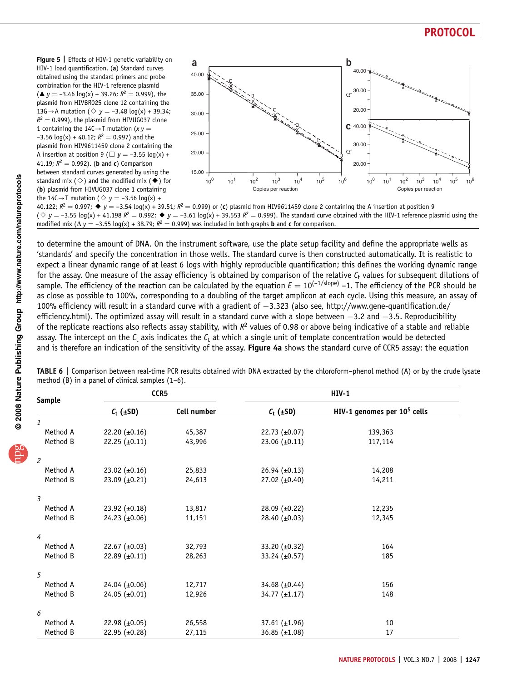Figure 5 | Effects of HIV-1 genetic variability on HIV-1 load quantification. (a) Standard curves obtained using the standard primers and probe combination for the HIV-1 reference plasmid  $({\triangle} y = -3.46 \text{ log}(x) + 39.26; R^2 = 0.999)$ , the plasmid from HIVBR025 clone 12 containing the 13G $\rightarrow$ A mutation ( $\Diamond$  y = -3.48 log(x) + 39.34;  $R^2 = 0.999$ ), the plasmid from HIVUG037 clone 1 containing the 14C $\rightarrow$ T mutation (x y =  $-3.56 \log(x) + 40.12$ ;  $R^2 = 0.997$ ) and the plasmid from HIV9611459 clone 2 containing the A insertion at position 9 ( $\Box$  y = -3.55 log(x) + 41.19;  $R^2 = 0.992$ ). (**b** and **c**) Comparison between standard curves generated by using the standard mix ( $\diamond$ ) and the modified mix ( $\blacklozenge$ ) for (b) plasmid from HIVUG037 clone 1 containing the 14C $\rightarrow$ T mutation ( $\Diamond$  y = -3.56 log(x) +



40.122;  $R^2 = 0.997$ ;  $\bullet v = -3.54 \log(x) + 39.51$ ;  $R^2 = 0.999$ ) or (c) plasmid from HIV9611459 clone 2 containing the A insertion at position 9  $(\diamondsuit \gamma = -3.55 \log(x) + 41.198 R^2 = 0.992$ ;  $\blacklozenge \gamma = -3.61 \log(x) + 39.553 R^2 = 0.999$ ). The standard curve obtained with the HIV-1 reference plasmid using the modified mix ( $\Delta y = -3.55 \log(x) + 38.79$ ;  $R^2 = 0.999$ ) was included in both graphs **b** and **c** for comparison.

to determine the amount of DNA. On the instrument software, use the plate setup facility and define the appropriate wells as 'standards' and specify the concentration in those wells. The standard curve is then constructed automatically. It is realistic to expect a linear dynamic range of at least 6 logs with highly reproducible quantification; this defines the working dynamic range for the assay. One measure of the assay efficiency is obtained by comparison of the relative  $C_t$  values for subsequent dilutions of sample. The efficiency of the reaction can be calculated by the equation  $E = 10^{(-1/\text{slope})} - 1$ . The efficiency of the PCR should be as close as possible to 100%, corresponding to a doubling of the target amplicon at each cycle. Using this measure, an assay of 100% efficiency will result in a standard curve with a gradient of  $-3.323$  (also see, http://www.gene-quantification.de/ efficiency.html). The optimized assay will result in a standard curve with a slope between  $-3.2$  and  $-3.5$ . Reproducibility of the replicate reactions also reflects assay stability, with  $R^2$  values of 0.98 or above being indicative of a stable and reliable assay. The intercept on the  $C_t$  axis indicates the  $C_t$  at which a single unit of template concentration would be detected and is therefore an indication of the sensitivity of the assay. Figure 4a shows the standard curve of CCR5 assay: the equation

| CCR5<br><b>Sample</b> |                      |             |                    | <b>HIV-1</b>                            |  |
|-----------------------|----------------------|-------------|--------------------|-----------------------------------------|--|
|                       | $C_t$ ( $\pm$ SD)    | Cell number | $C_t$ ( $\pm$ SD)  | HIV-1 genomes per 10 <sup>5</sup> cells |  |
| $\mathbf{1}$          |                      |             |                    |                                         |  |
| Method A              | 22.20 $(\pm 0.16)$   | 45,387      | 22.73 $(\pm 0.07)$ | 139,363                                 |  |
| Method B              | $22.25 \ (\pm 0.11)$ | 43,996      | 23.06 $(\pm 0.11)$ | 117,114                                 |  |
| $\overline{c}$        |                      |             |                    |                                         |  |
| Method A              | 23.02 $(\pm 0.16)$   | 25,833      | 26.94 $(\pm 0.13)$ | 14,208                                  |  |
| Method B              | 23.09 $(\pm 0.21)$   | 24,613      | 27.02 $(\pm 0.40)$ | 14,211                                  |  |
| 3                     |                      |             |                    |                                         |  |
| Method A              | 23.92 $(\pm 0.18)$   | 13,817      | 28.09 (±0.22)      | 12,235                                  |  |
| Method B              | 24.23 $(\pm 0.06)$   | 11,151      | 28.40 $(\pm 0.03)$ | 12,345                                  |  |
| 4                     |                      |             |                    |                                         |  |
| Method A              | 22.67 $(\pm 0.03)$   | 32,793      | 33.20 (±0.32)      | 164                                     |  |
| Method B              | 22.89 $(\pm 0.11)$   | 28,263      | 33.24 (±0.57)      | 185                                     |  |
| 5                     |                      |             |                    |                                         |  |
| Method A              | $24.04 \ (\pm 0.06)$ | 12,717      | 34.68 $(\pm 0.44)$ | 156                                     |  |
| Method B              | $24.05 \ (\pm 0.01)$ | 12,926      | 34.77 $(\pm 1.17)$ | 148                                     |  |
| 6                     |                      |             |                    |                                         |  |
| Method A              | 22.98 $(\pm 0.05)$   | 26,558      | 37.61 $(\pm 1.96)$ | 10                                      |  |
| Method B              | 22.95 $(\pm 0.28)$   | 27,115      | 36.85 $(\pm 1.08)$ | 17                                      |  |

TABLE 6 | Comparison between real-time PCR results obtained with DNA extracted by the chloroform–phenol method (A) or by the crude lysate method (B) in a panel of clinical samples (1–6).